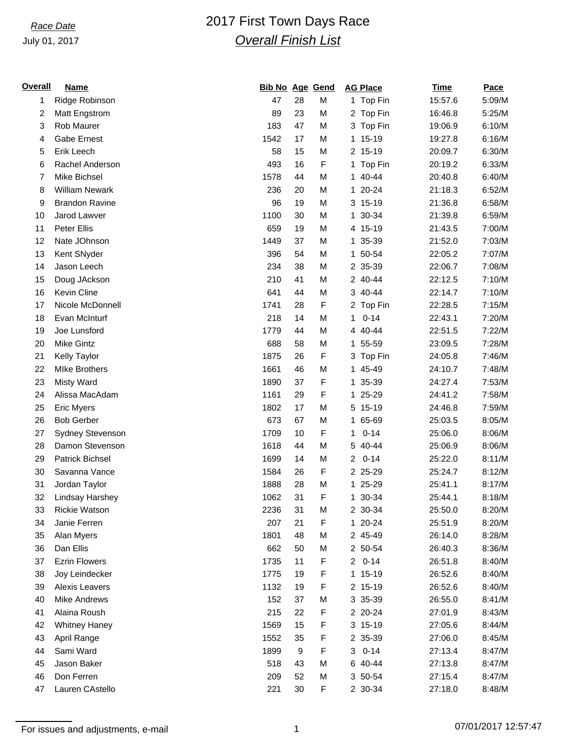## July 01, 2017

# *Race Date* 2017 First Town Days Race *Overall Finish List*

| <b>Overall</b> | <b>Name</b>            | <b>Bib No Age Gend</b> |    |   |                | <b>AG Place</b> | Time    | Pace   |
|----------------|------------------------|------------------------|----|---|----------------|-----------------|---------|--------|
| 1              | Ridge Robinson         | 47                     | 28 | M |                | 1 Top Fin       | 15:57.6 | 5:09/M |
| 2              | Matt Engstrom          | 89                     | 23 | M |                | 2 Top Fin       | 16:46.8 | 5:25/M |
| 3              | Rob Maurer             | 183                    | 47 | M |                | 3 Top Fin       | 19:06.9 | 6:10/M |
| 4              | <b>Gabe Ernest</b>     | 1542                   | 17 | M |                | 1 15-19         | 19:27.8 | 6:16/M |
| 5              | Erik Leech             | 58                     | 15 | M |                | 2 15-19         | 20:09.7 | 6:30/M |
| 6              | Rachel Anderson        | 493                    | 16 | F |                | 1 Top Fin       | 20:19.2 | 6:33/M |
| 7              | Mike Bichsel           | 1578                   | 44 | M |                | 1 40-44         | 20:40.8 | 6:40/M |
| 8              | <b>William Newark</b>  | 236                    | 20 | M |                | 1 20-24         | 21:18.3 | 6:52/M |
| 9              | <b>Brandon Ravine</b>  | 96                     | 19 | M |                | 3 15-19         | 21:36.8 | 6:58/M |
| 10             | Jarod Lawver           | 1100                   | 30 | M | $\mathbf{1}$   | 30-34           | 21:39.8 | 6:59/M |
| 11             | Peter Ellis            | 659                    | 19 | M |                | 4 15-19         | 21:43.5 | 7:00/M |
| 12             | Nate JOhnson           | 1449                   | 37 | M |                | 1 35-39         | 21:52.0 | 7:03/M |
| 13             | Kent SNyder            | 396                    | 54 | M |                | 1 50-54         | 22:05.2 | 7:07/M |
| 14             | Jason Leech            | 234                    | 38 | M |                | 2 35-39         | 22:06.7 | 7:08/M |
| 15             | Doug JAckson           | 210                    | 41 | M |                | 2 40-44         | 22:12.5 | 7:10/M |
| 16             | Kevin Cline            | 641                    | 44 | M |                | 3 40-44         | 22:14.7 | 7:10/M |
| 17             | Nicole McDonnell       | 1741                   | 28 | F |                | 2 Top Fin       | 22:28.5 | 7:15/M |
| 18             | Evan McInturf          | 218                    | 14 | M | 1              | $0 - 14$        | 22:43.1 | 7:20/M |
| 19             | Joe Lunsford           | 1779                   | 44 | M |                | 4 40-44         | 22:51.5 | 7:22/M |
| 20             | <b>Mike Gintz</b>      | 688                    | 58 | M |                | 1 55-59         | 23:09.5 | 7:28/M |
| 21             | <b>Kelly Taylor</b>    | 1875                   | 26 | F |                | 3 Top Fin       | 24:05.8 | 7:46/M |
| 22             | <b>MIke Brothers</b>   | 1661                   | 46 | M |                | 1 45-49         | 24:10.7 | 7:48/M |
| 23             | <b>Misty Ward</b>      | 1890                   | 37 | F |                | 1 35-39         | 24:27.4 | 7:53/M |
| 24             | Alissa MacAdam         | 1161                   | 29 | F |                | 1 25-29         | 24:41.2 | 7:58/M |
| 25             | <b>Eric Myers</b>      | 1802                   | 17 | M | 5              | $15-19$         | 24:46.8 | 7:59/M |
| 26             | <b>Bob Gerber</b>      | 673                    | 67 | M | $\mathbf{1}$   | 65-69           | 25:03.5 | 8:05/M |
| 27             | Sydney Stevenson       | 1709                   | 10 | F | 1              | $0 - 14$        | 25:06.0 | 8:06/M |
| 28             | Damon Stevenson        | 1618                   | 44 | M | 5              | 40-44           | 25:06.9 | 8:06/M |
| 29             | <b>Patrick Bichsel</b> | 1699                   | 14 | M | $\overline{2}$ | $0 - 14$        | 25:22.0 | 8:11/M |
| 30             | Savanna Vance          | 1584                   | 26 | F |                | 2 25-29         | 25:24.7 | 8:12/M |
| 31             | Jordan Taylor          | 1888                   | 28 | M |                | 1 25-29         | 25:41.1 | 8:17/M |
| 32             | Lindsay Harshey        | 1062                   | 31 | F |                | 1 30-34         | 25:44.1 | 8:18/M |
| 33             | <b>Rickie Watson</b>   | 2236                   | 31 | M |                | 2 30-34         | 25:50.0 | 8:20/M |
| 34             | Janie Ferren           | 207                    | 21 | F |                | 1 20-24         | 25:51.9 | 8:20/M |
| 35             | Alan Myers             | 1801                   | 48 | M |                | 2 45-49         | 26:14.0 | 8:28/M |
| 36             | Dan Ellis              | 662                    | 50 | М |                | 2 50-54         | 26:40.3 | 8:36/M |
| 37             | <b>Ezrin Flowers</b>   | 1735                   | 11 | F | $\overline{2}$ | $0 - 14$        | 26:51.8 | 8:40/M |
| 38             | Joy Leindecker         | 1775                   | 19 | F |                | 1 15-19         | 26:52.6 | 8:40/M |
| 39             | Alexis Leavers         | 1132                   | 19 | F |                | 2 15-19         | 26:52.6 | 8:40/M |
| 40             | <b>Mike Andrews</b>    | 152                    | 37 | M |                | 3 35-39         | 26:55.0 | 8:41/M |
| 41             | Alaina Roush           | 215                    | 22 | F |                | 2 20-24         | 27:01.9 | 8:43/M |
| 42             | <b>Whitney Haney</b>   | 1569                   | 15 | F |                | 3 15-19         | 27:05.6 | 8:44/M |
| 43             | April Range            | 1552                   | 35 | F |                | 2 35-39         | 27:06.0 | 8:45/M |
| 44             | Sami Ward              | 1899                   | 9  | F | 3              | $0 - 14$        | 27:13.4 | 8:47/M |
| 45             | Jason Baker            | 518                    | 43 | M |                | 6 40-44         | 27:13.8 | 8:47/M |
| 46             | Don Ferren             | 209                    | 52 | M |                | 3 50-54         | 27:15.4 | 8:47/M |
| 47             | Lauren CAstello        | 221                    | 30 | F |                | 2 30-34         | 27:18.0 | 8:48/M |
|                |                        |                        |    |   |                |                 |         |        |

For issues and adjustments, e-mail 1 07/01/2017 12:57:47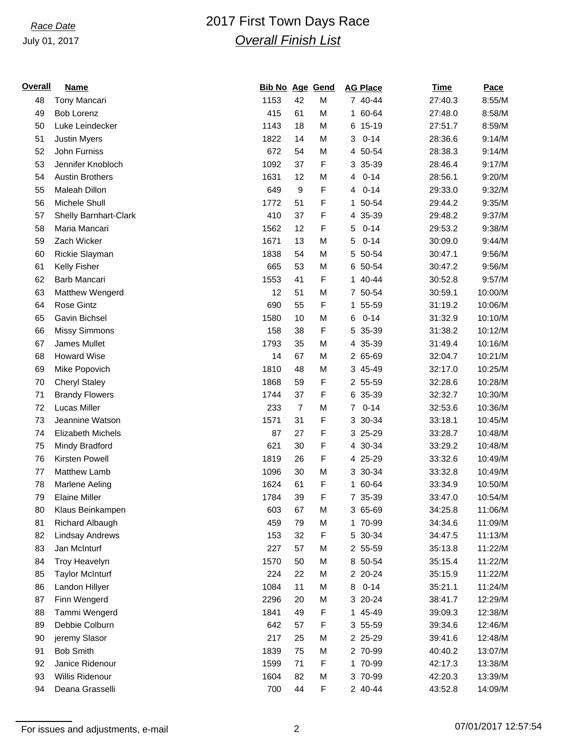## July 01, 2017

# *Race Date* 2017 First Town Days Race *Overall Finish List*

| Overall | <b>Name</b>                  | <b>Bib No Age Gend</b> |                |             | <b>AG Place</b>            | <b>Time</b> | Pace    |
|---------|------------------------------|------------------------|----------------|-------------|----------------------------|-------------|---------|
| 48      | Tony Mancari                 | 1153                   | 42             | М           | 7 40-44                    | 27:40.3     | 8:55/M  |
| 49      | <b>Bob Lorenz</b>            | 415                    | 61             | M           | 1 60-64                    | 27:48.0     | 8:58/M  |
| 50      | Luke Leindecker              | 1143                   | 18             | M           | 6 15-19                    | 27:51.7     | 8:59/M  |
| 51      | <b>Justin Myers</b>          | 1822                   | 14             | M           | $0 - 14$<br>3              | 28:36.6     | 9:14/M  |
| 52      | John Furniss                 | 672                    | 54             | M           | 4 50-54                    | 28:38.3     | 9:14/M  |
| 53      | Jennifer Knobloch            | 1092                   | 37             | F           | 3 35-39                    | 28:46.4     | 9:17/M  |
| 54      | <b>Austin Brothers</b>       | 1631                   | 12             | М           | $0 - 14$<br>4              | 28:56.1     | 9:20/M  |
| 55      | Maleah Dillon                | 649                    | 9              | F           | $0 - 14$<br>4              | 29:33.0     | 9:32/M  |
| 56      | Michele Shull                | 1772                   | 51             | F           | 50-54<br>1.                | 29:44.2     | 9:35/M  |
| 57      | <b>Shelly Barnhart-Clark</b> | 410                    | 37             | F           | 35-39<br>4                 | 29:48.2     | 9:37/M  |
| 58      | Maria Mancari                | 1562                   | 12             | F           | $0 - 14$<br>5              | 29:53.2     | 9:38/M  |
| 59      | Zach Wicker                  | 1671                   | 13             | M           | $0 - 14$<br>5              | 30:09.0     | 9:44/M  |
| 60      | Rickie Slayman               | 1838                   | 54             | M           | 5<br>50-54                 | 30:47.1     | 9:56/M  |
| 61      | Kelly Fisher                 | 665                    | 53             | M           | 6 50-54                    | 30:47.2     | 9:56/M  |
| 62      | Barb Mancari                 | 1553                   | 41             | F           | 1 40-44                    | 30:52.8     | 9:57/M  |
| 63      | Matthew Wengerd              | 12                     | 51             | M           | 7 50-54                    | 30:59.1     | 10:00/M |
| 64      | <b>Rose Gintz</b>            | 690                    | 55             | F           | 55-59<br>1.                | 31:19.2     | 10:06/M |
| 65      | Gavin Bichsel                | 1580                   | 10             | M           | $0 - 14$<br>6              | 31:32.9     | 10:10/M |
| 66      | <b>Missy Simmons</b>         | 158                    | 38             | F           | 35-39<br>5                 | 31:38.2     | 10:12/M |
| 67      | James Mullet                 | 1793                   | 35             | M           | 35-39<br>4                 | 31:49.4     | 10:16/M |
| 68      | <b>Howard Wise</b>           | 14                     | 67             | M           | 2 65-69                    | 32:04.7     | 10:21/M |
| 69      | Mike Popovich                | 1810                   | 48             | М           | 3 45-49                    | 32:17.0     | 10:25/M |
| 70      | <b>Cheryl Staley</b>         | 1868                   | 59             | $\mathsf F$ | 2 55-59                    | 32:28.6     | 10:28/M |
| 71      | <b>Brandy Flowers</b>        | 1744                   | 37             | F           | 6 35-39                    | 32:32.7     | 10:30/M |
| 72      | Lucas Miller                 | 233                    | $\overline{7}$ | М           | $0 - 14$<br>$\overline{7}$ | 32:53.6     | 10:36/M |
| 73      | Jeannine Watson              | 1571                   | 31             | F           | 3 30-34                    | 33:18.1     | 10:45/M |
| 74      | Elizabeth Michels            | 87                     | 27             | F           | 3 25-29                    | 33:28.7     | 10:48/M |
| 75      | Mindy Bradford               | 621                    | 30             | F           | 4 30-34                    | 33:29.2     | 10:48/M |
| 76      | Kirsten Powell               | 1819                   | 26             | F           | 4 25-29                    | 33:32.6     | 10:49/M |
| 77      | <b>Matthew Lamb</b>          | 1096                   | 30             | M           | 3 30-34                    | 33:32.8     | 10:49/M |
| 78      | Marlene Aeling               | 1624                   | 61             | F           | 1 60-64                    | 33:34.9     | 10:50/M |
| 79      | <b>Elaine Miller</b>         | 1784                   | 39             | F           | 7 35-39                    | 33:47.0     | 10:54/M |
| 80      | Klaus Beinkampen             | 603                    | 67             | M           | 3 65-69                    | 34:25.8     | 11:06/M |
| 81      | Richard Albaugh              | 459                    | 79             | М           | 1 70-99                    | 34:34.6     | 11:09/M |
| 82      | <b>Lindsay Andrews</b>       | 153                    | 32             | F           | 5 30-34                    | 34:47.5     | 11:13/M |
| 83      | Jan McInturf                 | 227                    | 57             | M           | 2 55-59                    | 35:13.8     | 11:22/M |
| 84      | <b>Troy Heavelyn</b>         | 1570                   | 50             | М           | 8 50-54                    | 35:15.4     | 11:22/M |
| 85      | <b>Taylor McInturf</b>       | 224                    | 22             | M           | 2 20-24                    | 35:15.9     | 11:22/M |
| 86      | Landon Hillyer               | 1084                   | 11             | М           | $0 - 14$<br>8              | 35:21.1     | 11:24/M |
| 87      | Finn Wengerd                 | 2296                   | 20             | M           | 3 20-24                    | 38:41.7     | 12:29/M |
| 88      | Tammi Wengerd                | 1841                   | 49             | F           | 1 45-49                    | 39:09.3     | 12:38/M |
| 89      | Debbie Colburn               | 642                    | 57             | F           | 3 55-59                    | 39:34.6     | 12:46/M |
| 90      | jeremy Slasor                | 217                    | 25             | M           | 2 25-29                    | 39:41.6     | 12:48/M |
| 91      | <b>Bob Smith</b>             | 1839                   | 75             | M           | 2 70-99                    | 40:40.2     | 13:07/M |
| 92      | Janice Ridenour              | 1599                   | 71             | F           | 1 70-99                    | 42:17.3     | 13:38/M |
| 93      | Willis Ridenour              | 1604                   | 82             | M           | 3 70-99                    | 42:20.3     | 13:39/M |
| 94      | Deana Grasselli              | 700                    | 44             | F           | 2 40-44                    | 43:52.8     | 14:09/M |
|         |                              |                        |                |             |                            |             |         |

For issues and adjustments, e-mail 2 07/01/2017 12:57:54